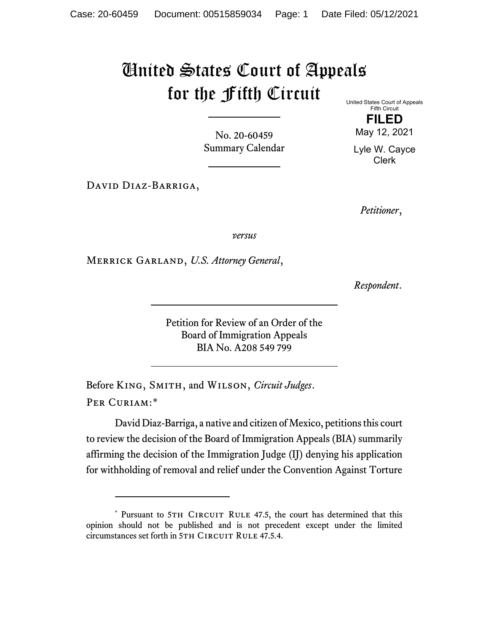## United States Court of Appeals for the Fifth Circuit

No. 20-60459 Summary Calendar

David Diaz-Barriga,

United States Court of Appeals Fifth Circuit

> **FILED** May 12, 2021

Lyle W. Cayce Clerk

*Petitioner*,

*versus*

Merrick Garland, *U.S. Attorney General*,

*Respondent*.

Petition for Review of an Order of the Board of Immigration Appeals BIA No. A208 549 799

Before King, Smith, and Wilson, *Circuit Judges*. Per Curiam:[\\*](#page-0-0)

David Diaz-Barriga, a native and citizen of Mexico, petitions this court to review the decision of the Board of Immigration Appeals (BIA) summarily affirming the decision of the Immigration Judge (IJ) denying his application for withholding of removal and relief under the Convention Against Torture

<span id="page-0-0"></span><sup>\*</sup> Pursuant to 5TH CIRCUIT RULE 47.5, the court has determined that this opinion should not be published and is not precedent except under the limited circumstances set forth in 5TH CIRCUIT RULE 47.5.4.